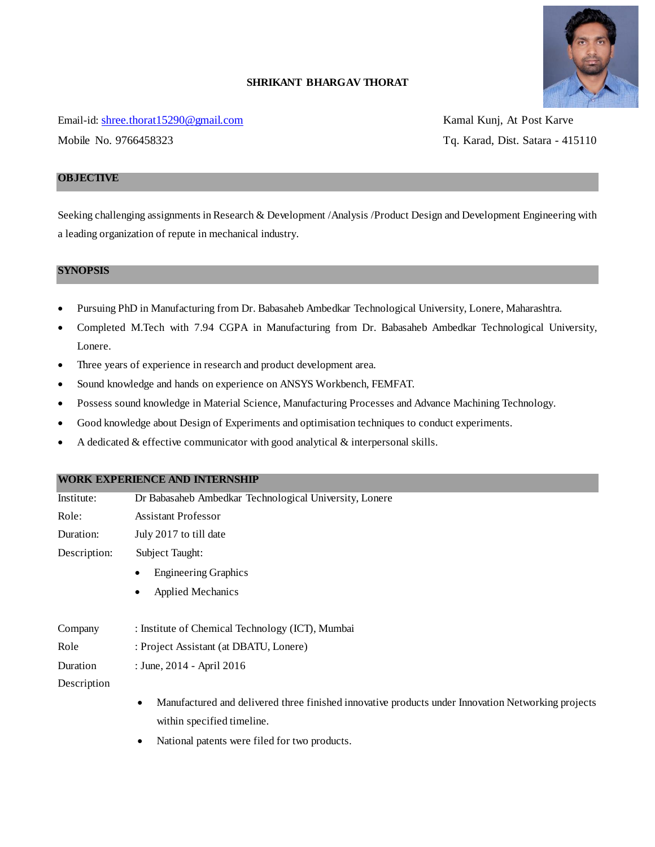

# **SHRIKANT BHARGAV THORAT**

Email-id: [shree.thorat15290@gmail.com](mailto:shree.thorat15290@gmail.com) Kamal Kunj, At Post Karve

Mobile No. 9766458323 Tq. Karad, Dist. Satara - 415110

# **OBJECTIVE**

Seeking challenging assignments in Research & Development /Analysis /Product Design and Development Engineering with a leading organization of repute in mechanical industry.

### **SYNOPSIS**

- Pursuing PhD in Manufacturing from Dr. Babasaheb Ambedkar Technological University, Lonere, Maharashtra.
- Completed M.Tech with 7.94 CGPA in Manufacturing from Dr. Babasaheb Ambedkar Technological University, Lonere.
- Three years of experience in research and product development area.
- Sound knowledge and hands on experience on ANSYS Workbench, FEMFAT.
- Possess sound knowledge in Material Science, Manufacturing Processes and Advance Machining Technology.
- Good knowledge about Design of Experiments and optimisation techniques to conduct experiments.
- A dedicated & effective communicator with good analytical & interpersonal skills.

### **WORK EXPERIENCE AND INTERNSHIP**

| Institute:   | Dr Babasaheb Ambedkar Technological University, Lonere                                                          |  |  |
|--------------|-----------------------------------------------------------------------------------------------------------------|--|--|
| Role:        | <b>Assistant Professor</b>                                                                                      |  |  |
| Duration:    | July 2017 to till date                                                                                          |  |  |
| Description: | Subject Taught:                                                                                                 |  |  |
|              | <b>Engineering Graphics</b>                                                                                     |  |  |
|              | <b>Applied Mechanics</b><br>٠                                                                                   |  |  |
| Company      | : Institute of Chemical Technology (ICT), Mumbai                                                                |  |  |
| Role         | : Project Assistant (at DBATU, Lonere)                                                                          |  |  |
| Duration     | : June, 2014 - April 2016                                                                                       |  |  |
| Description  |                                                                                                                 |  |  |
|              | Manufactured and delivered three finished innovative products under Innovation Networking projects<br>$\bullet$ |  |  |
|              | within specified timeline.                                                                                      |  |  |
|              | National patents were filed for two products.<br>$\bullet$                                                      |  |  |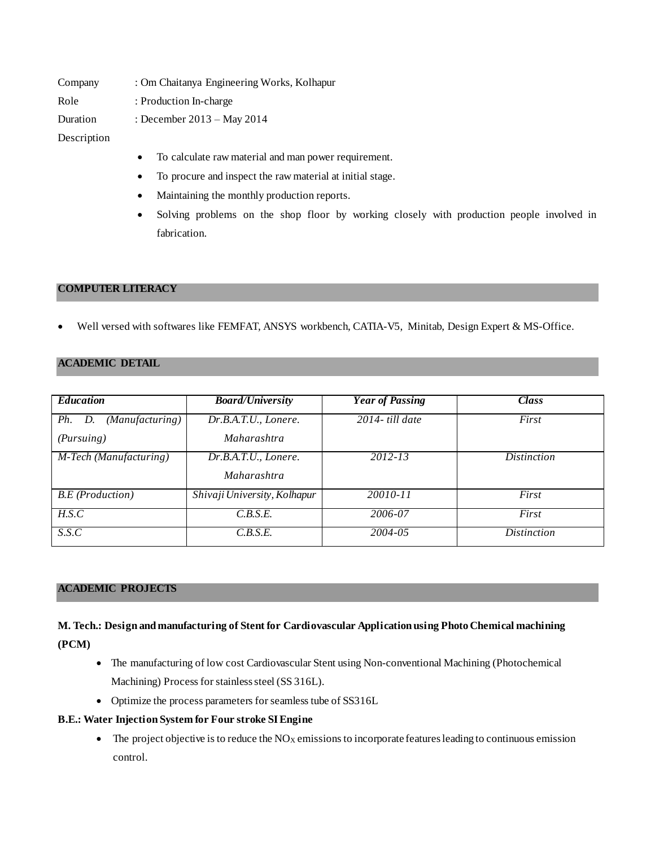| Company     | : Om Chaitanya Engineering Works, Kolhapur                        |  |
|-------------|-------------------------------------------------------------------|--|
| Role        | : Production In-charge                                            |  |
| Duration    | : December $2013 - May 2014$                                      |  |
| Description |                                                                   |  |
|             | To calculate raw material and man power requirement.<br>$\bullet$ |  |

- 
- To procure and inspect the raw material at initial stage.
- Maintaining the monthly production reports.
- Solving problems on the shop floor by working closely with production people involved in fabrication.

### **COMPUTER LITERACY**

Well versed with softwares like FEMFAT, ANSYS workbench, CATIA-V5, Minitab, Design Expert & MS-Office.

### **ACADEMIC DETAIL**

| <b>Education</b>                 | <b>Board/University</b>      | <b>Year of Passing</b> | <b>Class</b>       |
|----------------------------------|------------------------------|------------------------|--------------------|
| (Manufacturing)<br>Ph.<br>D.     | Dr.B.A.T.U., Lonere.         | $2014$ - till date     | First              |
| (Pursuing)                       | <i>Maharashtra</i>           |                        |                    |
| M-Tech (Manufacturing)           | Dr.B.A.T.U., Lonere.         | $2012 - 13$            | <i>Distinction</i> |
|                                  | <i>Maharashtra</i>           |                        |                    |
| <b>B.E</b> ( <i>Production</i> ) | Shivaji University, Kolhapur | 20010-11               | First              |
| H.S.C                            | C.B.S.E.                     | 2006-07                | First              |
| S.S.C                            | C.B.S.E.                     | 2004-05                | <i>Distinction</i> |

# **ACADEMIC PROJECTS**

# **M. Tech.: Design and manufacturing of Stent for Cardiovascular Application using Photo Chemical machining (PCM)**

- The manufacturing of low cost Cardiovascular Stent using Non-conventional Machining (Photochemical Machining) Process for stainless steel (SS 316L).
- Optimize the process parameters for seamless tube of SS316L

### **B.E.: Water Injection System for Four stroke SI Engine**

 $\bullet$  The project objective is to reduce the NO<sub>X</sub> emissions to incorporate features leading to continuous emission control.